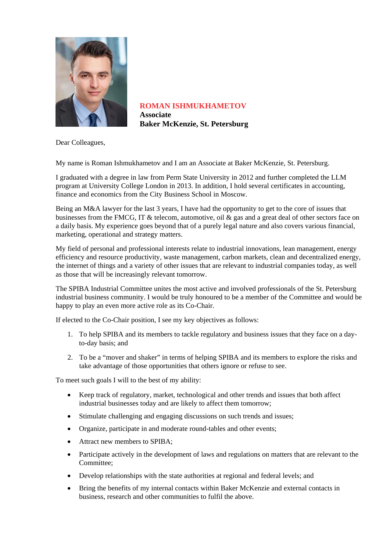

**ROMAN ISHMUKHAMETOV Associate Baker McKenzie, St. Petersburg** 

Dear Colleagues,

My name is Roman Ishmukhametov and I am an Associate at Baker McKenzie, St. Petersburg.

I graduated with a degree in law from Perm State University in 2012 and further completed the LLM program at University College London in 2013. In addition, I hold several certificates in accounting, finance and economics from the City Business School in Moscow.

Being an M&A lawyer for the last 3 years, I have had the opportunity to get to the core of issues that businesses from the FMCG, IT & telecom, automotive, oil & gas and a great deal of other sectors face on a daily basis. My experience goes beyond that of a purely legal nature and also covers various financial, marketing, operational and strategy matters.

My field of personal and professional interests relate to industrial innovations, lean management, energy efficiency and resource productivity, waste management, carbon markets, clean and decentralized energy, the internet of things and a variety of other issues that are relevant to industrial companies today, as well as those that will be increasingly relevant tomorrow.

The SPIBA Industrial Committee unites the most active and involved professionals of the St. Petersburg industrial business community. I would be truly honoured to be a member of the Committee and would be happy to play an even more active role as its Co-Chair.

If elected to the Co-Chair position, I see my key objectives as follows:

- 1. To help SPIBA and its members to tackle regulatory and business issues that they face on a dayto-day basis; and
- 2. To be a "mover and shaker" in terms of helping SPIBA and its members to explore the risks and take advantage of those opportunities that others ignore or refuse to see.

To meet such goals I will to the best of my ability:

- Keep track of regulatory, market, technological and other trends and issues that both affect industrial businesses today and are likely to affect them tomorrow;
- Stimulate challenging and engaging discussions on such trends and issues;
- Organize, participate in and moderate round-tables and other events;
- Attract new members to SPIBA:
- Participate actively in the development of laws and regulations on matters that are relevant to the Committee;
- Develop relationships with the state authorities at regional and federal levels; and
- Bring the benefits of my internal contacts within Baker McKenzie and external contacts in business, research and other communities to fulfil the above.